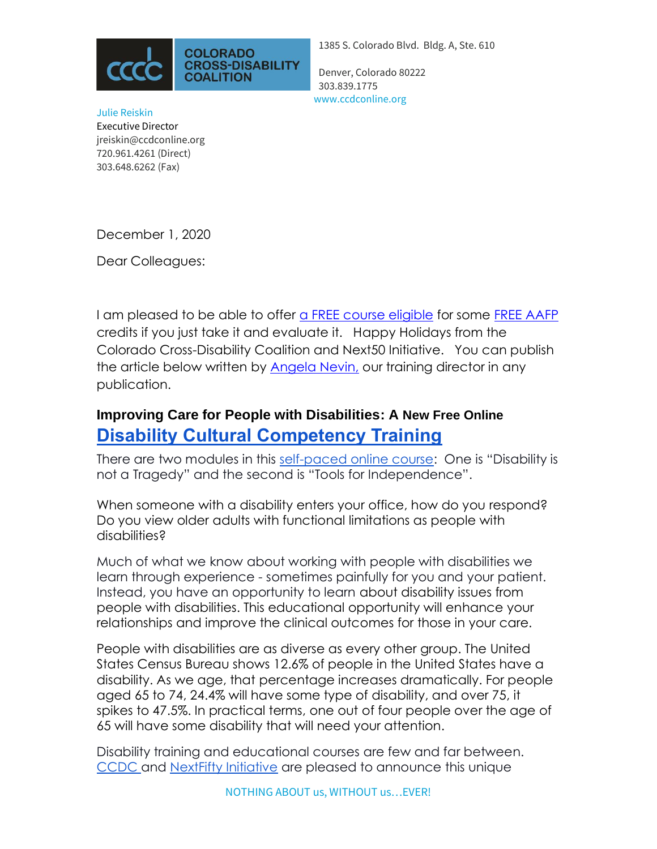

1385 S. Colorado Blvd. Bldg. A, Ste. 610

Denver, Colorado 80222 303.839.1775 www.ccdconline.org

Julie Reiskin Executive Director jreiskin@ccdconline.org 720.961.4261 (Direct) [303.648.6262](tel:303-648-6262) (Fax)

December 1, 2020

Dear Colleagues:

I am pleased to be able to offer [a FREE course eligible](https://canvas.instructure.com/enroll/WXWR3L) for some [FREE AAFP](https://www.aafp.org/cme.html) credits if you just take it and evaluate it. Happy Holidays from the Colorado Cross-Disability Coalition and Next50 Initiative. You can publish the article below written by [Angela Nevin,](mailto:anevin@ccdconline.org) our training director in any publication.

## **Improving Care for People with Disabilities: A New Free Online [Disability Cultural Competency Training](https://canvas.instructure.com/enroll/WXWR3L)**

There are two modules in this [self-paced online course:](https://canvas.instructure.com/enroll/WXWR3L) One is "Disability is not a Tragedy" and the second is "Tools for Independence".

When someone with a disability enters your office, how do you respond? Do you view older adults with functional limitations as people with disabilities?

Much of what we know about working with people with disabilities we learn through experience - sometimes painfully for you and your patient. Instead, you have an opportunity to learn about disability issues from people with disabilities. This educational opportunity will enhance your relationships and improve the clinical outcomes for those in your care.

People with disabilities are as diverse as every other group. The United States Census Bureau shows 12.6% of people in the United States have a disability. As we age, that percentage increases dramatically. For people aged 65 to 74, 24.4% will have some type of disability, and over 75, it spikes to 47.5%. In practical terms, one out of four people over the age of 65 will have some disability that will need your attention.

Disability training and educational courses are few and far between. [CCDC a](http://www.ccdconline.org/)nd [NextFifty Initiative](https://www.next50initiative.org/) are pleased to announce this unique